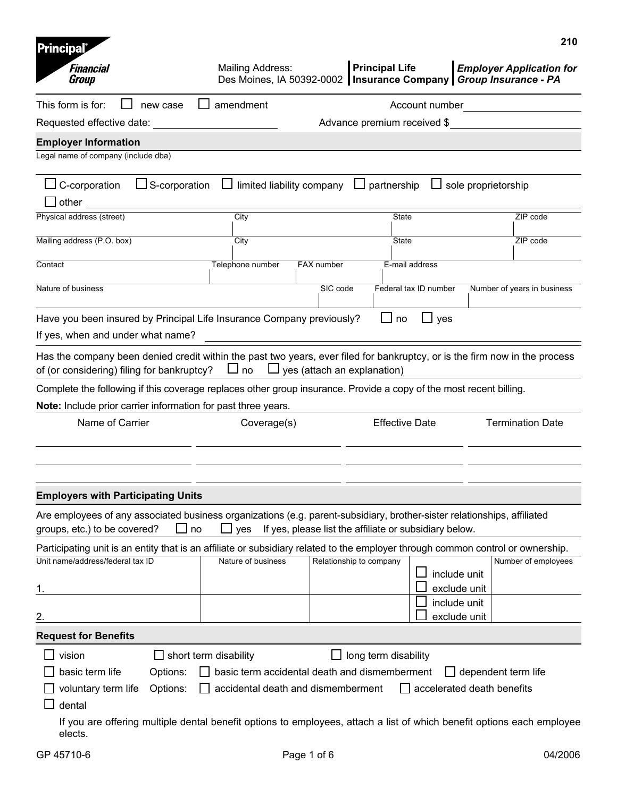| <b>Principal</b>                                                                                                                                                 |                              |                                                                                     |                                              |                                                                   | 210                                                                                                                                                    |
|------------------------------------------------------------------------------------------------------------------------------------------------------------------|------------------------------|-------------------------------------------------------------------------------------|----------------------------------------------|-------------------------------------------------------------------|--------------------------------------------------------------------------------------------------------------------------------------------------------|
| <b>Financial</b><br>Group                                                                                                                                        |                              | Mailing Address:                                                                    |                                              | <b>Principal Life</b>                                             | <b>Employer Application for</b><br>Des Moines, IA 50392-0002   Insurance Company   Group Insurance - PA                                                |
| This form is for:                                                                                                                                                | new case                     | amendment                                                                           |                                              | Account number                                                    |                                                                                                                                                        |
| Requested effective date:                                                                                                                                        |                              |                                                                                     |                                              | Advance premium received \$                                       |                                                                                                                                                        |
| <b>Employer Information</b><br>Legal name of company (include dba)                                                                                               |                              |                                                                                     |                                              |                                                                   |                                                                                                                                                        |
| $\Box$ C-corporation<br>other                                                                                                                                    | $\Box$ S-corporation         |                                                                                     | limited liability company $\Box$ partnership |                                                                   | $\Box$ sole proprietorship                                                                                                                             |
| Physical address (street)                                                                                                                                        |                              | City                                                                                |                                              | <b>State</b>                                                      | ZIP code                                                                                                                                               |
| Mailing address (P.O. box)                                                                                                                                       |                              | City                                                                                |                                              | State                                                             | ZIP code                                                                                                                                               |
| Contact                                                                                                                                                          |                              | Telephone number                                                                    | FAX number                                   | E-mail address                                                    |                                                                                                                                                        |
| Nature of business                                                                                                                                               |                              |                                                                                     | SIC code                                     | Federal tax ID number                                             | Number of years in business                                                                                                                            |
| Have you been insured by Principal Life Insurance Company previously?<br>If yes, when and under what name?                                                       |                              |                                                                                     |                                              | $\Box$ no<br>$\Box$ yes                                           |                                                                                                                                                        |
| of (or considering) filing for bankruptcy?<br>Complete the following if this coverage replaces other group insurance. Provide a copy of the most recent billing. |                              | $\Box$ no                                                                           | $\Box$ yes (attach an explanation)           |                                                                   | Has the company been denied credit within the past two years, ever filed for bankruptcy, or is the firm now in the process                             |
| Note: Include prior carrier information for past three years.                                                                                                    |                              |                                                                                     |                                              |                                                                   |                                                                                                                                                        |
| Name of Carrier                                                                                                                                                  |                              | Coverage(s)                                                                         |                                              | <b>Effective Date</b>                                             | <b>Termination Date</b>                                                                                                                                |
| <b>Employers with Participating Units</b>                                                                                                                        |                              |                                                                                     |                                              |                                                                   |                                                                                                                                                        |
| Are employees of any associated business organizations (e.g. parent-subsidiary, brother-sister relationships, affiliated<br>groups, etc.) to be covered?         | $\Box$ no                    |                                                                                     |                                              | $\Box$ yes If yes, please list the affiliate or subsidiary below. |                                                                                                                                                        |
| Unit name/address/federal tax ID                                                                                                                                 |                              | Nature of business                                                                  | Relationship to company                      |                                                                   | Participating unit is an entity that is an affiliate or subsidiary related to the employer through common control or ownership.<br>Number of employees |
|                                                                                                                                                                  |                              |                                                                                     |                                              |                                                                   | include unit<br>exclude unit                                                                                                                           |
| 2.                                                                                                                                                               |                              |                                                                                     |                                              |                                                                   | include unit<br>exclude unit                                                                                                                           |
| <b>Request for Benefits</b>                                                                                                                                      |                              |                                                                                     |                                              |                                                                   |                                                                                                                                                        |
| vision                                                                                                                                                           | $\Box$ short term disability |                                                                                     |                                              | long term disability                                              |                                                                                                                                                        |
| basic term life<br>voluntary term life<br>dental                                                                                                                 | Options:<br>Options:         | basic term accidental death and dismemberment<br>accidental death and dismemberment |                                              |                                                                   | $\Box$ dependent term life<br>$\Box$ accelerated death benefits                                                                                        |
| elects.                                                                                                                                                          |                              |                                                                                     |                                              |                                                                   | If you are offering multiple dental benefit options to employees, attach a list of which benefit options each employee                                 |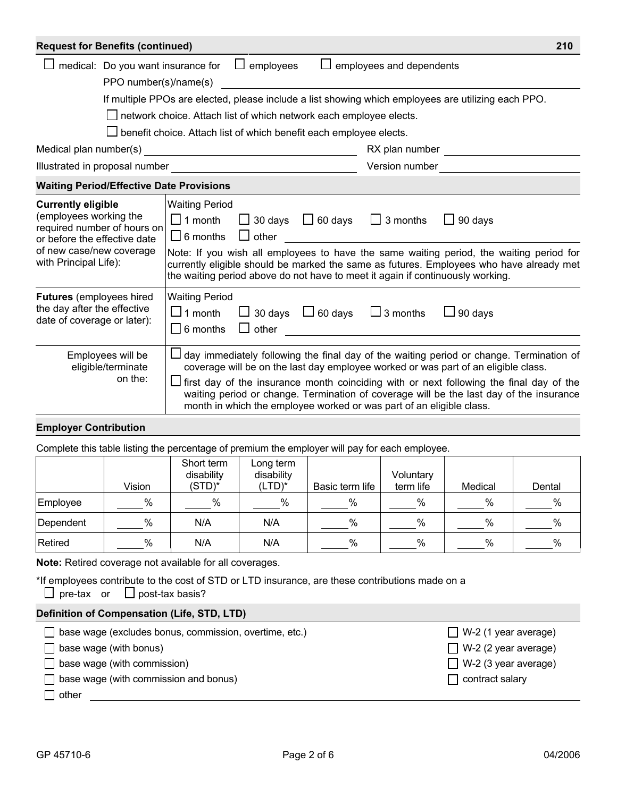| <b>Request for Benefits (continued)</b>                                                                                                                                 |                       |                                                               |                                                                           |        |                                                                                                                                                                       | 210                                                                                                                                                                                                                                                                                                                                                                 |  |
|-------------------------------------------------------------------------------------------------------------------------------------------------------------------------|-----------------------|---------------------------------------------------------------|---------------------------------------------------------------------------|--------|-----------------------------------------------------------------------------------------------------------------------------------------------------------------------|---------------------------------------------------------------------------------------------------------------------------------------------------------------------------------------------------------------------------------------------------------------------------------------------------------------------------------------------------------------------|--|
|                                                                                                                                                                         |                       | medical: Do you want insurance for                            | $\Box$ employees                                                          | $\Box$ | employees and dependents                                                                                                                                              |                                                                                                                                                                                                                                                                                                                                                                     |  |
|                                                                                                                                                                         | PPO number(s)/name(s) |                                                               |                                                                           |        |                                                                                                                                                                       |                                                                                                                                                                                                                                                                                                                                                                     |  |
|                                                                                                                                                                         |                       |                                                               |                                                                           |        |                                                                                                                                                                       | If multiple PPOs are elected, please include a list showing which employees are utilizing each PPO.                                                                                                                                                                                                                                                                 |  |
|                                                                                                                                                                         |                       |                                                               | $\Box$ network choice. Attach list of which network each employee elects. |        |                                                                                                                                                                       |                                                                                                                                                                                                                                                                                                                                                                     |  |
|                                                                                                                                                                         |                       |                                                               | benefit choice. Attach list of which benefit each employee elects.        |        |                                                                                                                                                                       |                                                                                                                                                                                                                                                                                                                                                                     |  |
|                                                                                                                                                                         |                       |                                                               |                                                                           |        | RX plan number                                                                                                                                                        |                                                                                                                                                                                                                                                                                                                                                                     |  |
|                                                                                                                                                                         |                       |                                                               |                                                                           |        | Version number                                                                                                                                                        |                                                                                                                                                                                                                                                                                                                                                                     |  |
| <b>Waiting Period/Effective Date Provisions</b>                                                                                                                         |                       |                                                               |                                                                           |        |                                                                                                                                                                       |                                                                                                                                                                                                                                                                                                                                                                     |  |
| <b>Currently eligible</b><br>(employees working the<br>required number of hours on<br>or before the effective date<br>of new case/new coverage<br>with Principal Life): |                       | <b>Waiting Period</b><br>$\Box$ 1 month<br>$\Box$ 6 months    | $\Box$ other                                                              |        | $\Box$ 30 days $\Box$ 60 days $\Box$ 3 months<br><u> 1980 - Jan Barat, martin a</u><br>the waiting period above do not have to meet it again if continuously working. | $\Box$ 90 days<br>Note: If you wish all employees to have the same waiting period, the waiting period for<br>currently eligible should be marked the same as futures. Employees who have already met                                                                                                                                                                |  |
| <b>Futures</b> (employees hired<br>the day after the effective<br>date of coverage or later):                                                                           |                       | <b>Waiting Period</b><br>$\square$ 1 month<br>$\Box$ 6 months | $\Box$ other                                                              |        | $\Box$ 30 days $\Box$ 60 days $\Box$ 3 months                                                                                                                         | $\Box$ 90 days                                                                                                                                                                                                                                                                                                                                                      |  |
| Employees will be<br>eligible/terminate                                                                                                                                 | on the:               |                                                               |                                                                           |        | month in which the employee worked or was part of an eligible class.                                                                                                  | day immediately following the final day of the waiting period or change. Termination of<br>coverage will be on the last day employee worked or was part of an eligible class.<br>first day of the insurance month coinciding with or next following the final day of the<br>waiting period or change. Termination of coverage will be the last day of the insurance |  |

## **Employer Contribution**

Complete this table listing the percentage of premium the employer will pay for each employee.

|           | Vision | Short term<br>disability<br>$(STD)^*$ | Long term<br>disability<br>$(LTD)^*$ | Basic term life | Voluntary<br>term life | Medical | Dental |
|-----------|--------|---------------------------------------|--------------------------------------|-----------------|------------------------|---------|--------|
| Employee  | %      | %                                     | $\%$                                 | %               | $\%$                   | $\%$    | %      |
| Dependent | %      | N/A                                   | N/A                                  | %               | $\%$                   | $\%$    | %      |
| Retired   | %      | N/A                                   | N/A                                  | %               | %                      | $\%$    | %      |

**Note:** Retired coverage not available for all coverages.

\*If employees contribute to the cost of STD or LTD insurance, are these contributions made on a  $\Box$  pre-tax or  $\Box$  post-tax basis?

| Definition of Compensation (Life, STD, LTD)                   |                             |
|---------------------------------------------------------------|-----------------------------|
| $\Box$ base wage (excludes bonus, commission, overtime, etc.) | $\Box$ W-2 (1 year average) |
| $\Box$ base wage (with bonus)                                 | $\Box$ W-2 (2 year average) |
| $\Box$ base wage (with commission)                            | $\Box$ W-2 (3 year average) |
| $\Box$ base wage (with commission and bonus)                  | contract salary             |
| $\sqcap$ other                                                |                             |
|                                                               |                             |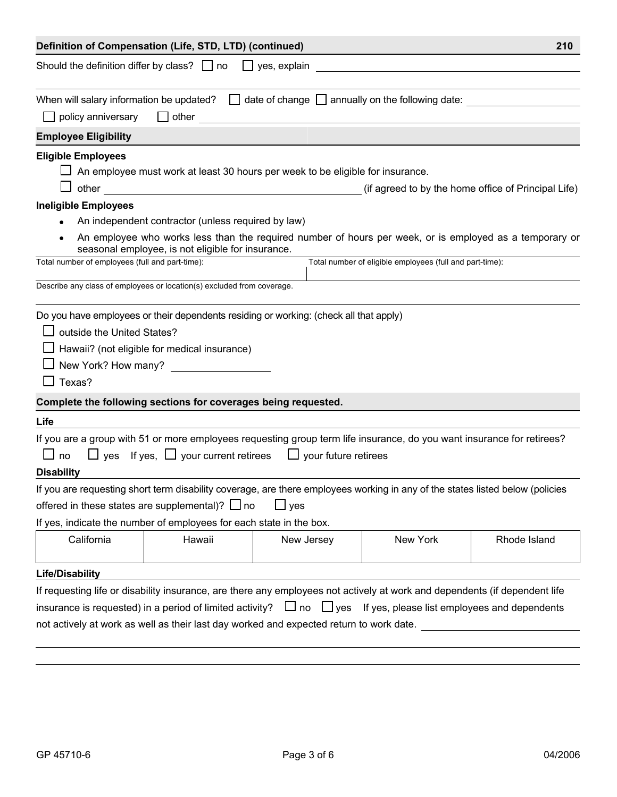|                                                                                                                                           | Definition of Compensation (Life, STD, LTD) (continued)                                                                                                                                                                                                                                                                                                                                                             |                     |                                                          | 210                                                                                                                                                            |
|-------------------------------------------------------------------------------------------------------------------------------------------|---------------------------------------------------------------------------------------------------------------------------------------------------------------------------------------------------------------------------------------------------------------------------------------------------------------------------------------------------------------------------------------------------------------------|---------------------|----------------------------------------------------------|----------------------------------------------------------------------------------------------------------------------------------------------------------------|
| Should the definition differ by class? $\Box$ no                                                                                          |                                                                                                                                                                                                                                                                                                                                                                                                                     | $\Box$ yes, explain |                                                          |                                                                                                                                                                |
|                                                                                                                                           | When will salary information be updated? $\Box$ date of change $\Box$ annually on the following date:                                                                                                                                                                                                                                                                                                               |                     |                                                          |                                                                                                                                                                |
| policy anniversary                                                                                                                        | $\Box$ other                                                                                                                                                                                                                                                                                                                                                                                                        |                     |                                                          |                                                                                                                                                                |
| <b>Employee Eligibility</b>                                                                                                               |                                                                                                                                                                                                                                                                                                                                                                                                                     |                     |                                                          |                                                                                                                                                                |
| <b>Eligible Employees</b><br><b>Ineligible Employees</b><br>Total number of employees (full and part-time):<br>outside the United States? | $\Box$ An employee must work at least 30 hours per week to be eligible for insurance.<br>An independent contractor (unless required by law)<br>seasonal employee, is not eligible for insurance.<br>Describe any class of employees or location(s) excluded from coverage.<br>Do you have employees or their dependents residing or working: (check all that apply)<br>Hawaii? (not eligible for medical insurance) |                     | Total number of eligible employees (full and part-time): | (if agreed to by the home office of Principal Life)<br>An employee who works less than the required number of hours per week, or is employed as a temporary or |
|                                                                                                                                           | New York? How many?                                                                                                                                                                                                                                                                                                                                                                                                 |                     |                                                          |                                                                                                                                                                |
| $\Box$ Texas?                                                                                                                             |                                                                                                                                                                                                                                                                                                                                                                                                                     |                     |                                                          |                                                                                                                                                                |
|                                                                                                                                           | Complete the following sections for coverages being requested.                                                                                                                                                                                                                                                                                                                                                      |                     |                                                          |                                                                                                                                                                |
| Life<br>$\Box$ no<br><b>Disability</b>                                                                                                    | If you are a group with 51 or more employees requesting group term life insurance, do you want insurance for retirees?<br>$\Box$ yes If yes, $\Box$ your current retirees $\Box$ your future retirees<br>If you are requesting short term disability coverage, are there employees working in any of the states listed below (policies                                                                              |                     |                                                          |                                                                                                                                                                |
|                                                                                                                                           | offered in these states are supplemental)? $\Box$ no                                                                                                                                                                                                                                                                                                                                                                | $\Box$ yes          |                                                          |                                                                                                                                                                |
|                                                                                                                                           | If yes, indicate the number of employees for each state in the box.                                                                                                                                                                                                                                                                                                                                                 |                     |                                                          |                                                                                                                                                                |
| California                                                                                                                                | Hawaii                                                                                                                                                                                                                                                                                                                                                                                                              | New Jersey          | New York                                                 | Rhode Island                                                                                                                                                   |
| <b>Life/Disability</b>                                                                                                                    |                                                                                                                                                                                                                                                                                                                                                                                                                     |                     |                                                          |                                                                                                                                                                |
|                                                                                                                                           | If requesting life or disability insurance, are there any employees not actively at work and dependents (if dependent life                                                                                                                                                                                                                                                                                          |                     |                                                          |                                                                                                                                                                |
|                                                                                                                                           | insurance is requested) in a period of limited activity? $\Box$ no $\Box$ yes If yes, please list employees and dependents                                                                                                                                                                                                                                                                                          |                     |                                                          |                                                                                                                                                                |
|                                                                                                                                           | not actively at work as well as their last day worked and expected return to work date.                                                                                                                                                                                                                                                                                                                             |                     |                                                          |                                                                                                                                                                |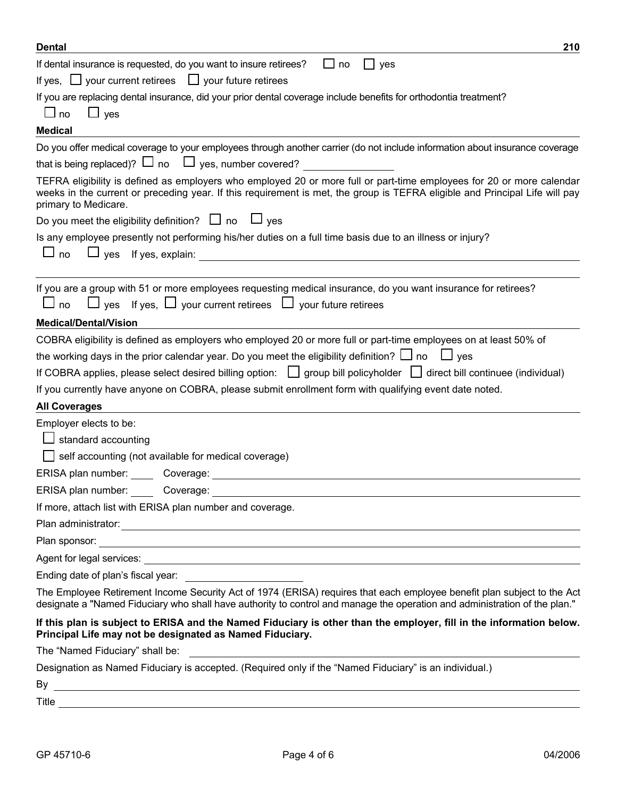| <b>Dental</b><br>210                                                                                                                                                                                                                                                         |
|------------------------------------------------------------------------------------------------------------------------------------------------------------------------------------------------------------------------------------------------------------------------------|
| If dental insurance is requested, do you want to insure retirees?<br>no<br>yes                                                                                                                                                                                               |
| If yes, $\Box$ your current retirees $\Box$ your future retirees                                                                                                                                                                                                             |
| If you are replacing dental insurance, did your prior dental coverage include benefits for orthodontia treatment?<br>$\Box$ yes<br>$\Box$ no                                                                                                                                 |
| <b>Medical</b>                                                                                                                                                                                                                                                               |
| Do you offer medical coverage to your employees through another carrier (do not include information about insurance coverage                                                                                                                                                 |
| that is being replaced)? $\Box$ no $\Box$ yes, number covered?                                                                                                                                                                                                               |
| TEFRA eligibility is defined as employers who employed 20 or more full or part-time employees for 20 or more calendar<br>weeks in the current or preceding year. If this requirement is met, the group is TEFRA eligible and Principal Life will pay<br>primary to Medicare. |
| Do you meet the eligibility definition? $\Box$ no $\Box$ yes                                                                                                                                                                                                                 |
| Is any employee presently not performing his/her duties on a full time basis due to an illness or injury?<br>$\Box$ yes If yes, explain:<br>$\Box$ no                                                                                                                        |
| If you are a group with 51 or more employees requesting medical insurance, do you want insurance for retirees?<br>$\Box$ yes If yes, $\Box$ your current retirees $\Box$ your future retirees<br>$\Box$ no                                                                   |
| <b>Medical/Dental/Vision</b>                                                                                                                                                                                                                                                 |
| COBRA eligibility is defined as employers who employed 20 or more full or part-time employees on at least 50% of                                                                                                                                                             |
| the working days in the prior calendar year. Do you meet the eligibility definition? $\Box$ no $\Box$ yes                                                                                                                                                                    |
| If COBRA applies, please select desired billing option: $\Box$ group bill policyholder $\Box$ direct bill continuee (individual)                                                                                                                                             |
| If you currently have anyone on COBRA, please submit enrollment form with qualifying event date noted.                                                                                                                                                                       |
| <b>All Coverages</b>                                                                                                                                                                                                                                                         |
| Employer elects to be:                                                                                                                                                                                                                                                       |
| standard accounting                                                                                                                                                                                                                                                          |
| self accounting (not available for medical coverage)                                                                                                                                                                                                                         |
| ERISA plan number: Coverage:                                                                                                                                                                                                                                                 |
| ERISA plan number:<br>Coverage:                                                                                                                                                                                                                                              |
| If more, attach list with ERISA plan number and coverage.                                                                                                                                                                                                                    |
|                                                                                                                                                                                                                                                                              |
| Plan sponsor: <u>example and contract and contract and contract and contract and contract and contract and contract of the set of the set of the set of the set of the set of the set of the set of the set of the set of the se</u>                                         |
|                                                                                                                                                                                                                                                                              |
| Ending date of plan's fiscal year:                                                                                                                                                                                                                                           |
| The Employee Retirement Income Security Act of 1974 (ERISA) requires that each employee benefit plan subject to the Act<br>designate a "Named Fiduciary who shall have authority to control and manage the operation and administration of the plan."                        |
| If this plan is subject to ERISA and the Named Fiduciary is other than the employer, fill in the information below.<br>Principal Life may not be designated as Named Fiduciary.                                                                                              |
|                                                                                                                                                                                                                                                                              |
| Designation as Named Fiduciary is accepted. (Required only if the "Named Fiduciary" is an individual.)                                                                                                                                                                       |
| By<br><u> 1989 - Andrea San Andrea San Andrea San Andrea San Andrea San Andrea San Andrea San Andrea San Andrea San A</u>                                                                                                                                                    |
| Title $\overline{\phantom{a}}$<br><u> 1989 - Andrea Santa Andrea Santa Andrea Santa Andrea Santa Andrea Santa Andrea Santa Andrea Santa Andrea San</u>                                                                                                                       |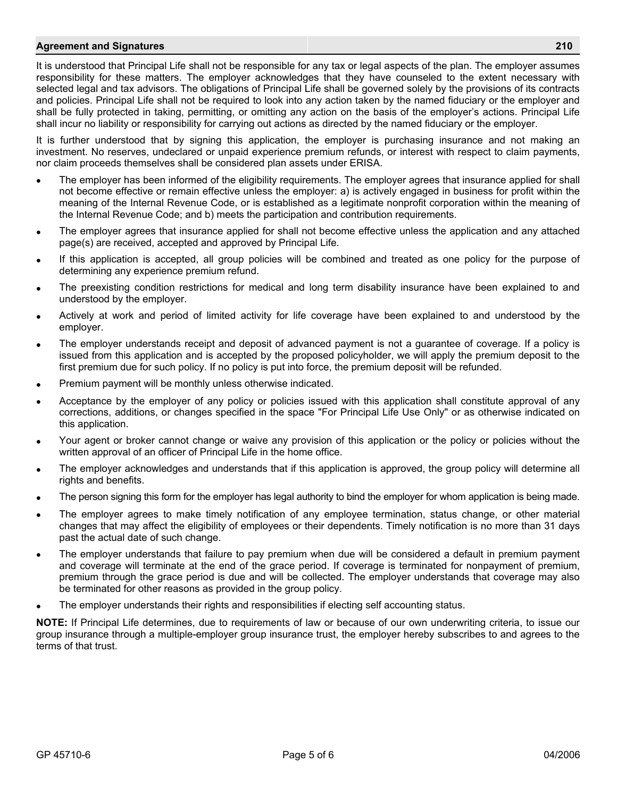## **Agreement and Signatures 210**

It is understood that Principal Life shall not be responsible for any tax or legal aspects of the plan. The employer assumes responsibility for these matters. The employer acknowledges that they have counseled to the extent necessary with selected legal and tax advisors. The obligations of Principal Life shall be governed solely by the provisions of its contracts and policies. Principal Life shall not be required to look into any action taken by the named fiduciary or the employer and shall be fully protected in taking, permitting, or omitting any action on the basis of the employer's actions. Principal Life shall incur no liability or responsibility for carrying out actions as directed by the named fiduciary or the employer.

It is further understood that by signing this application, the employer is purchasing insurance and not making an investment. No reserves, undeclared or unpaid experience premium refunds, or interest with respect to claim payments, nor claim proceeds themselves shall be considered plan assets under ERISA.

- The employer has been informed of the eligibility requirements. The employer agrees that insurance applied for shall not become effective or remain effective unless the employer: a) is actively engaged in business for profit within the meaning of the Internal Revenue Code, or is established as a legitimate nonprofit corporation within the meaning of the Internal Revenue Code; and b) meets the participation and contribution requirements.
- The employer agrees that insurance applied for shall not become effective unless the application and any attached page(s) are received, accepted and approved by Principal Life.
- If this application is accepted, all group policies will be combined and treated as one policy for the purpose of determining any experience premium refund.
- The preexisting condition restrictions for medical and long term disability insurance have been explained to and understood by the employer.
- Actively at work and period of limited activity for life coverage have been explained to and understood by the employer.
- The employer understands receipt and deposit of advanced payment is not a guarantee of coverage. If a policy is issued from this application and is accepted by the proposed policyholder, we will apply the premium deposit to the first premium due for such policy. If no policy is put into force, the premium deposit will be refunded.
- Premium payment will be monthly unless otherwise indicated.
- Acceptance by the employer of any policy or policies issued with this application shall constitute approval of any corrections, additions, or changes specified in the space "For Principal Life Use Only" or as otherwise indicated on this application.
- Your agent or broker cannot change or waive any provision of this application or the policy or policies without the written approval of an officer of Principal Life in the home office.
- The employer acknowledges and understands that if this application is approved, the group policy will determine all rights and benefits.
- The person signing this form for the employer has legal authority to bind the employer for whom application is being made.
- The employer agrees to make timely notification of any employee termination, status change, or other material changes that may affect the eligibility of employees or their dependents. Timely notification is no more than 31 days past the actual date of such change.
- The employer understands that failure to pay premium when due will be considered a default in premium payment and coverage will terminate at the end of the grace period. If coverage is terminated for nonpayment of premium, premium through the grace period is due and will be collected. The employer understands that coverage may also be terminated for other reasons as provided in the group policy.
- The employer understands their rights and responsibilities if electing self accounting status.

**NOTE:** If Principal Life determines, due to requirements of law or because of our own underwriting criteria, to issue our group insurance through a multiple-employer group insurance trust, the employer hereby subscribes to and agrees to the terms of that trust.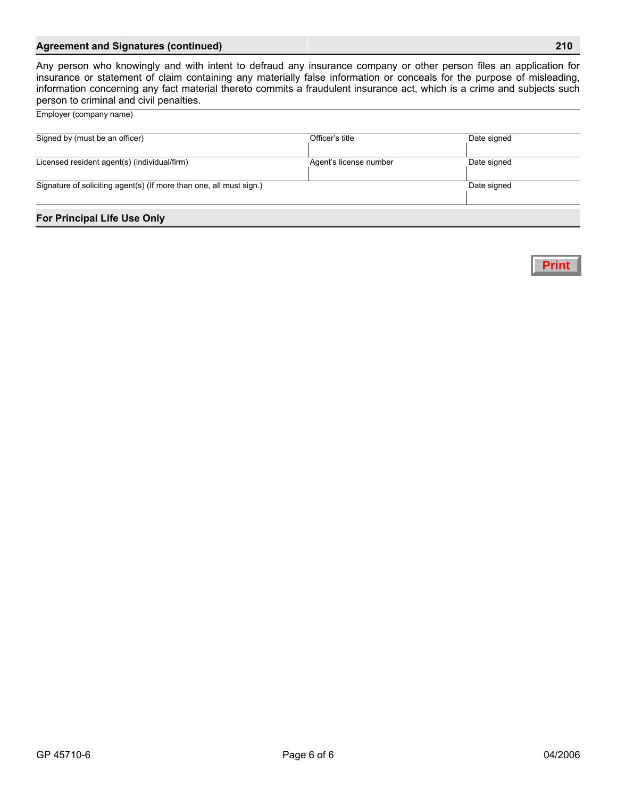## **Agreement and Signatures (continued) 210**

Any person who knowingly and with intent to defraud any insurance company or other person files an application for insurance or statement of claim containing any materially false information or conceals for the purpose of misleading, information concerning any fact material thereto commits a fraudulent insurance act, which is a crime and subjects such person to criminal and civil penalties.

Employer (company name)

| <b>For Principal Life Use Only</b>                                  |                        |             |  |
|---------------------------------------------------------------------|------------------------|-------------|--|
| Signature of soliciting agent(s) (If more than one, all must sign.) | Date signed            |             |  |
| Licensed resident agent(s) (individual/firm)                        | Agent's license number | Date signed |  |
| Signed by (must be an officer)                                      |                        | Date signed |  |
|                                                                     | Officer's title        |             |  |